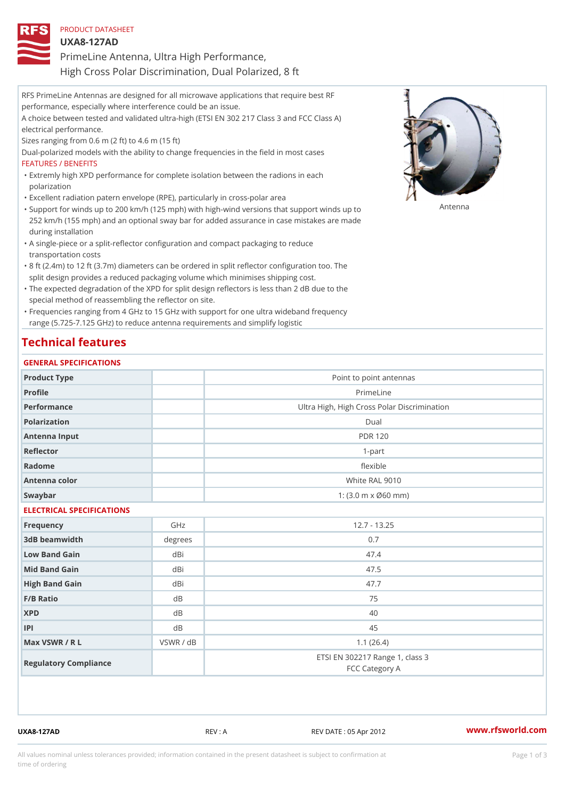| PRODUCT DATASHEET                                     |
|-------------------------------------------------------|
| U X A 8 - 1 2 7 A D                                   |
| PrimeLine Antenna, Ultra High Performance,            |
| High Cross Polar Discrimination, Dual Polarized, 8 ft |

RFS PrimeLine Antennas are designed for all microwave applications that require best RF performance, especially where interference could be an issue. A choice between tested and validated ultra-high (ETSI EN 302 217 Class 3 and FCC Class A) electrical performance. Sizes ranging from 0.6 m (2 ft) to 4.6 m (15 ft) Dual-polarized models with the ability to change frequencies in the field in most cases FEATURES / BENEFITS Extremly high XPD performance for complete isolation between the radions in each " polarization "Excellent radiation patern envelope (RPE), particularly in cross-polar area "Support for winds up to 200 km/h (125 mph) with high-wind versions that support for wands up to 252 km/h (155 mph) and an optional sway bar for added assurance in case mistakes are made during installation

- A single-piece or a split-reflector configuration and compact packaging to reduce " transportation costs
- 8 ft (2.4m) to 12 ft (3.7m) diameters can be ordered in split reflector configuration too. The " split design provides a reduced packaging volume which minimises shipping cost.
- "The expected degradation of the XPD for split design reflectors is less than 2 dB due to the special method of reassembling the reflector on site.

Frequencies ranging from 4 GHz to 15 GHz with support for one ultra wideband frequency " range (5.725-7.125 GHz) to reduce antenna requirements and simplify logistic

## Technical features

#### GENERAL SPECIFICATIONS

| Product Type              |                | Point to point antennas                                 |  |  |  |
|---------------------------|----------------|---------------------------------------------------------|--|--|--|
| Profile                   |                | PrimeLine                                               |  |  |  |
| Performance               |                | Ultra High, High Cross Polar Discrimination             |  |  |  |
| Polarization              |                | $D$ ual                                                 |  |  |  |
| Antenna Input             |                | <b>PDR 120</b>                                          |  |  |  |
| Reflector                 |                | $1 - p$ art                                             |  |  |  |
| Radome                    |                | flexible                                                |  |  |  |
| Antenna color             |                | White RAL 9010                                          |  |  |  |
| Swaybar                   |                | 1: $(3.0 \, \text{m} \times \emptyset 60 \, \text{mm})$ |  |  |  |
| ELECTRICAL SPECIFICATIONS |                |                                                         |  |  |  |
| Frequency                 | GHz            | $12.7 - 13.25$                                          |  |  |  |
| 3dB beamwidth             | degrees        | 0.7                                                     |  |  |  |
| Low Band Gain             | dBi            | 47.4                                                    |  |  |  |
| Mid Band Gain             | dBi            | 47.5                                                    |  |  |  |
| High Band Gain            | dBi            | 47.7                                                    |  |  |  |
| F/B Ratio                 | d B            | 75                                                      |  |  |  |
| <b>XPD</b>                | d B            | 40                                                      |  |  |  |
| P                         | d <sub>B</sub> | 45                                                      |  |  |  |
| Max VSWR / R L            | VSWR / dB      | 1.1(26.4)                                               |  |  |  |
| Regulatory Compliance     |                | ETSI EN 302217 Range 1, class 3<br>FCC Category A       |  |  |  |

UXA8-127AD REV : A REV DATE : 05 Apr 2012 [www.](https://www.rfsworld.com)rfsworld.com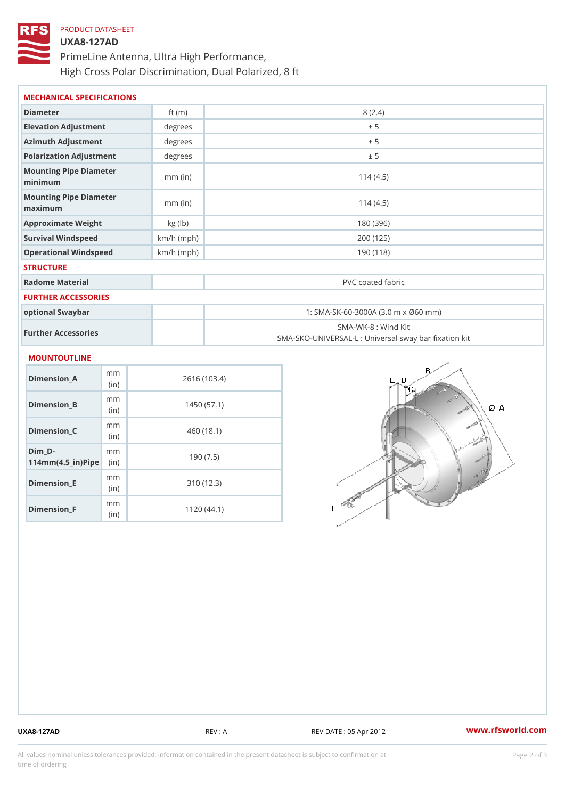# PRODUCT DATASHEET UXA8-127AD PrimeLine Antenna, Ultra High Performance, High Cross Polar Discrimination, Dual Polarized, 8 ft

| MECHANICAL SPECIFICATIONS             |              |                                                                         |  |
|---------------------------------------|--------------|-------------------------------------------------------------------------|--|
| Diameter                              | ft $(m)$     | 8(2.4)                                                                  |  |
| Elevation Adjustment                  | degree:      | ± 5                                                                     |  |
| Azimuth Adjustment                    | degree:      | ± 5                                                                     |  |
| Polarization Adjustment               | degree       | ± 5                                                                     |  |
| Mounting Pipe Diameter<br>minimaum    | $mm$ (in)    | 114(4.5)                                                                |  |
| Mounting Pipe Diameter<br>maximum     | $mm$ (in)    | 114(4.5)                                                                |  |
| Approximate Weight                    | kg(lb)       | 180 (396)                                                               |  |
| Survival Windspeed                    | $km/h$ (mph) | 200 (125)                                                               |  |
| Operational Windspeed                 | $km/h$ (mph) | 190 (118)                                                               |  |
| <b>STRUCTURE</b>                      |              |                                                                         |  |
| Radome Material                       |              | PVC coated fabric                                                       |  |
| FURTHER ACCESSORIES                   |              |                                                                         |  |
| optional Swaybar                      |              | 1: SMA-SK-60-3000A (3.0 m x Ø60 mm)                                     |  |
| Further Accessories                   |              | SMA-WK-8: Wind Kit<br>SMA-SKO-UNIVERSAL-L : Universal sway bar fixation |  |
| MOUNTOUTLINE                          |              |                                                                         |  |
| m <sub>m</sub><br>Dimension_A<br>(in  |              | 2616 (103.4)                                                            |  |
| m <sub>m</sub><br>Dimension B<br>(in) |              | 1450(57.1)                                                              |  |
|                                       |              |                                                                         |  |

Dimension\_C

Dimension\_E

Dimension\_F

 $114$  m m (4.5 \_ i r )  $\sqrt{$  ii p  $\ge$ 

 $Dim_D - D -$ 

mm (in)

m m

mm (in)

m<sub>m</sub> (in)

460 (18.1)

190 (7.5)

310 (12.3)

1120 (44.1)

UXA8-127AD REV : A REV DATE : 05 Apr 2012 [www.](https://www.rfsworld.com)rfsworld.com